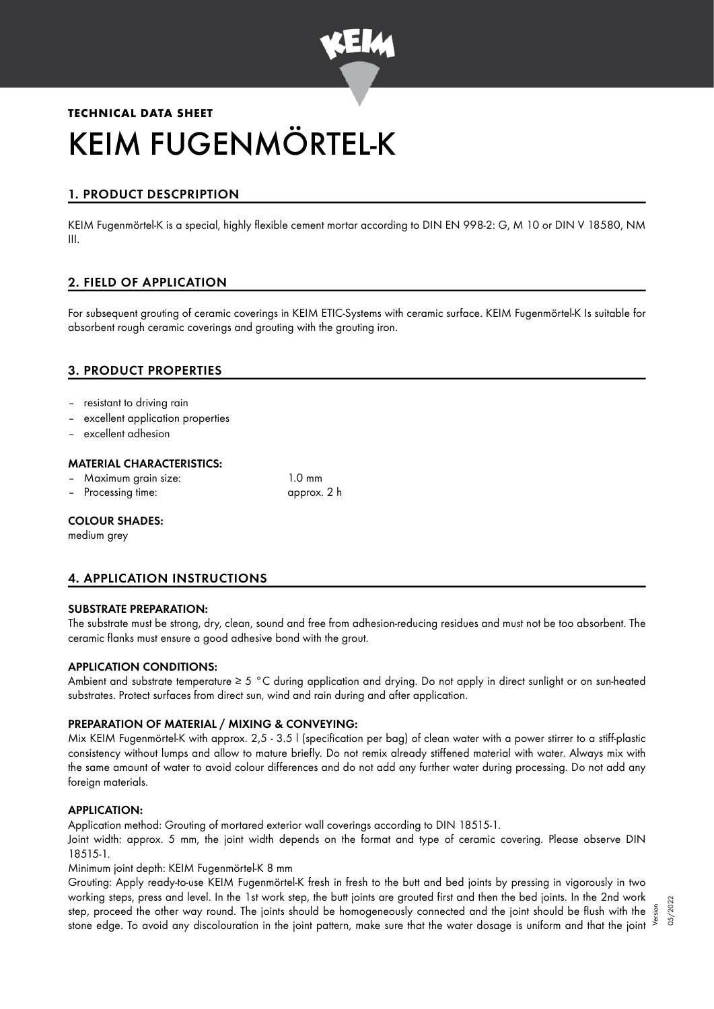

# **TECHNICAL DATA SHEET** KEIM FUGENMÖRTEL-K

# 1. PRODUCT DESCPRIPTION

KEIM Fugenmörtel-K is a special, highly flexible cement mortar according to DIN EN 998-2: G, M 10 or DIN V 18580, NM III.

# 2. FIELD OF APPLICATION

For subsequent grouting of ceramic coverings in KEIM ETIC-Systems with ceramic surface. KEIM Fugenmörtel-K Is suitable for absorbent rough ceramic coverings and grouting with the grouting iron.

# 3. PRODUCT PROPERTIES

- resistant to driving rain
- excellent application properties
- excellent adhesion

#### MATERIAL CHARACTERISTICS:

- Maximum grain size: 1.0 mm
- Processing time: approx. 2 h

#### COLOUR SHADES:

medium grey

# 4. APPLICATION INSTRUCTIONS

#### SUBSTRATE PREPARATION:

The substrate must be strong, dry, clean, sound and free from adhesion-reducing residues and must not be too absorbent. The ceramic flanks must ensure a good adhesive bond with the grout.

#### APPLICATION CONDITIONS:

Ambient and substrate temperature ≥ 5 °C during application and drying. Do not apply in direct sunlight or on sun-heated substrates. Protect surfaces from direct sun, wind and rain during and after application.

#### PREPARATION OF MATERIAL / MIXING & CONVEYING:

Mix KEIM Fugenmörtel-K with approx. 2,5 - 3.5 l (specification per bag) of clean water with a power stirrer to a stiff-plastic consistency without lumps and allow to mature briefly. Do not remix already stiffened material with water. Always mix with the same amount of water to avoid colour differences and do not add any further water during processing. Do not add any foreign materials.

#### APPLICATION:

Application method: Grouting of mortared exterior wall coverings according to DIN 18515-1.

Joint width: approx. 5 mm, the joint width depends on the format and type of ceramic covering. Please observe DIN 18515-1.

Minimum joint depth: KEIM Fugenmörtel-K 8 mm

Grouting: Apply ready-to-use KEIM Fugenmörtel-K fresh in fresh to the butt and bed joints by pressing in vigorously in two working steps, press and level. In the 1st work step, the butt joints are grouted first and then the bed joints. In the 2nd work step, proceed the other way round. The joints should be homogeneously connected and the joint should be flush with the stone edge. To avoid any discolouration in the joint pattern, make sure that the water dosage is uniform and that the joint Version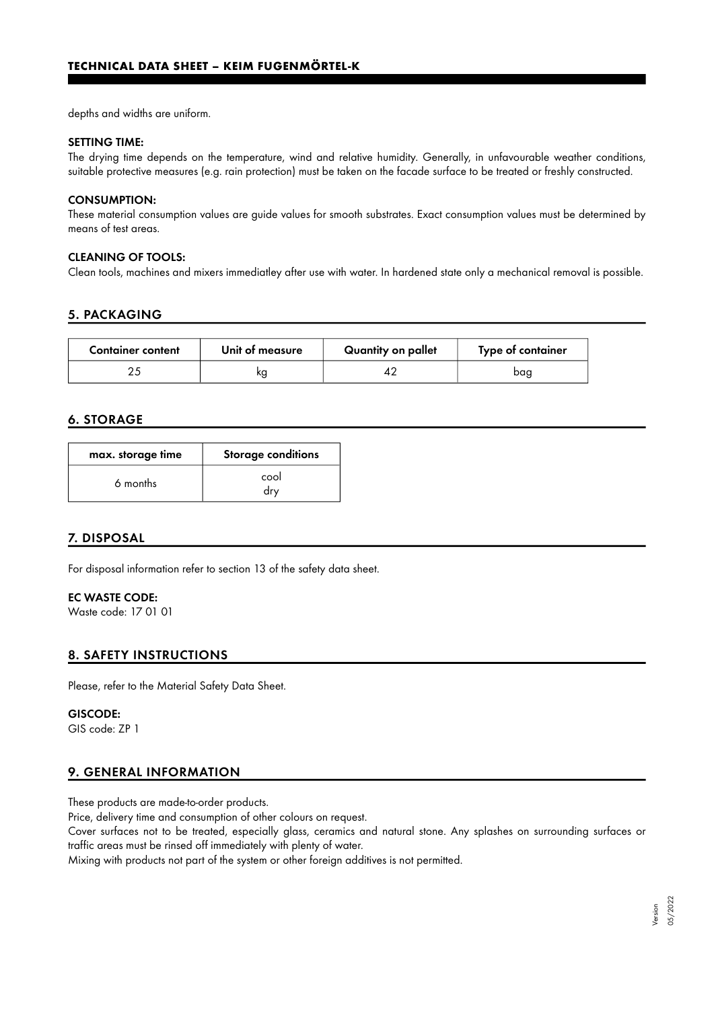depths and widths are uniform.

#### SETTING TIME:

The drying time depends on the temperature, wind and relative humidity. Generally, in unfavourable weather conditions, suitable protective measures (e.g. rain protection) must be taken on the facade surface to be treated or freshly constructed.

#### CONSUMPTION:

These material consumption values are guide values for smooth substrates. Exact consumption values must be determined by means of test areas.

## CLEANING OF TOOLS:

Clean tools, machines and mixers immediatley after use with water. In hardened state only a mechanical removal is possible.

## 5. PACKAGING

| <b>Container content</b> | Unit of measure | Quantity on pallet | Type of container |
|--------------------------|-----------------|--------------------|-------------------|
|                          | ĸq              |                    | bag               |

# 6. STORAGE

| max. storage time | <b>Storage conditions</b> |  |
|-------------------|---------------------------|--|
| 6 months          | cool<br>drv               |  |

# 7. DISPOSAL

For disposal information refer to section 13 of the safety data sheet.

## EC WASTE CODE:

Waste code: 17 01 01

# 8. SAFETY INSTRUCTIONS

Please, refer to the Material Safety Data Sheet.

#### GISCODE:

GIS code: ZP 1

#### 9. GENERAL INFORMATION

These products are made-to-order products.

Price, delivery time and consumption of other colours on request.

Cover surfaces not to be treated, especially glass, ceramics and natural stone. Any splashes on surrounding surfaces or traffic areas must be rinsed off immediately with plenty of water.

Mixing with products not part of the system or other foreign additives is not permitted.